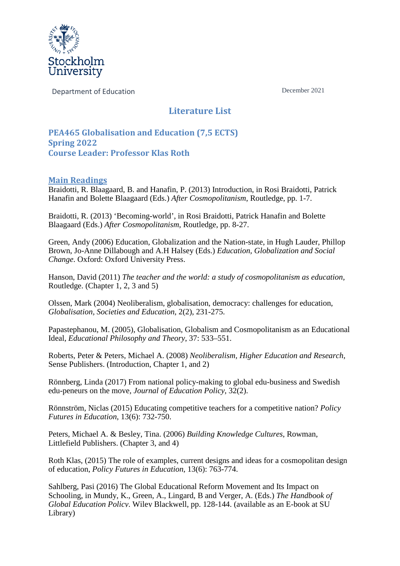

Department of Education December 2021

## **Literature List**

**PEA465 Globalisation and Education (7,5 ECTS) Spring 2022 Course Leader: Professor Klas Roth**

## **Main Readings**

Braidotti, R. Blaagaard, B. and Hanafin, P. (2013) Introduction, in Rosi Braidotti, Patrick Hanafin and Bolette Blaagaard (Eds.) *After Cosmopolitanism*, Routledge, pp. 1-7.

Braidotti, R. (2013) 'Becoming-world', in Rosi Braidotti, Patrick Hanafin and Bolette Blaagaard (Eds.) *After Cosmopolitanism*, Routledge, pp. 8-27.

Green, Andy (2006) Education, Globalization and the Nation-state, in Hugh Lauder, Phillop Brown, Jo-Anne Dillabough and A.H Halsey (Eds.) *Education, Globalization and Social Change*. Oxford: Oxford University Press.

Hanson, David (2011) *The teacher and the world: a study of cosmopolitanism as education,*  Routledge. (Chapter 1, 2, 3 and 5)

Olssen, Mark (2004) Neoliberalism, globalisation, democracy: challenges for education, *Globalisation, Societies and Education*, 2(2), 231-275.

Papastephanou, M. (2005), Globalisation, Globalism and Cosmopolitanism as an Educational Ideal, *Educational Philosophy and Theory*, 37: 533–551.

Roberts, Peter & Peters, Michael A. (2008) *Neoliberalism, Higher Education and Research*, Sense Publishers. (Introduction, Chapter 1, and 2)

Rönnberg, Linda (2017) From national policy-making to global edu-business and Swedish edu-peneurs on the move, *Journal of Education Policy*, 32(2).

Rönnström, Niclas (2015) Educating competitive teachers for a competitive nation? *Policy Futures in Education*, 13(6): 732-750.

Peters, Michael A. & Besley, Tina. (2006) *Building Knowledge Cultures*, Rowman, Littlefield Publishers. (Chapter 3, and 4)

Roth Klas, (2015) The role of examples, current designs and ideas for a cosmopolitan design of education, *Policy Futures in Education*, 13(6): 763-774.

Sahlberg, Pasi (2016) The Global Educational Reform Movement and Its Impact on Schooling, in Mundy, K., Green, A., Lingard, B and Verger, A. (Eds.) *The Handbook of Global Education Policy*. Wiley Blackwell, pp. 128-144. (available as an E-book at SU Library)